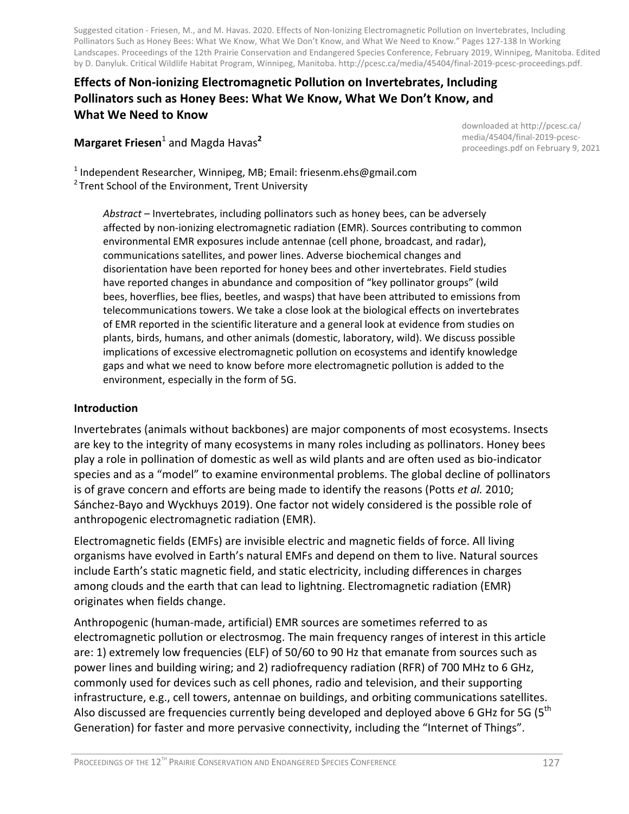Suggested citation - Friesen, M., and M. Havas. 2020. Effects of Non-Ionizing Electromagnetic Pollution on Invertebrates, Including Pollinators Such as Honey Bees: What We Know, What We Don't Know, and What We Need to Know." Pages 127-138 In Working Landscapes. Proceedings of the 12th Prairie Conservation and Endangered Species Conference, February 2019, Winnipeg, Manitoba. Edited by D. Danyluk. Critical Wildlife Habitat Program, Winnipeg, Manitoba. http://pcesc.ca/media/45404/final-2019-pcesc-proceedings.pdf.

#### **Effects of Non-ionizing Electromagnetic Pollution on Invertebrates, Including Pollinators such as Honey Bees: What We Know, What We Don't Know, and What We Need to Know**

#### **Margaret Friesen**<sup>1</sup> and Magda Havas**<sup>2</sup>**

downloaded at http://pcesc.ca/ media/45404/final-2019-pcescproceedings.pdf on February 9, 2021

<sup>1</sup> Independent Researcher, Winnipeg, MB; Email: friesenm.ehs@gmail.com  $2$  Trent School of the Environment, Trent University

*Abstract* – Invertebrates, including pollinators such as honey bees, can be adversely affected by non-ionizing electromagnetic radiation (EMR). Sources contributing to common environmental EMR exposures include antennae (cell phone, broadcast, and radar), communications satellites, and power lines. Adverse biochemical changes and disorientation have been reported for honey bees and other invertebrates. Field studies have reported changes in abundance and composition of "key pollinator groups" (wild bees, hoverflies, bee flies, beetles, and wasps) that have been attributed to emissions from telecommunications towers. We take a close look at the biological effects on invertebrates of EMR reported in the scientific literature and a general look at evidence from studies on plants, birds, humans, and other animals (domestic, laboratory, wild). We discuss possible implications of excessive electromagnetic pollution on ecosystems and identify knowledge gaps and what we need to know before more electromagnetic pollution is added to the environment, especially in the form of 5G.

#### **Introduction**

Invertebrates (animals without backbones) are major components of most ecosystems. Insects are key to the integrity of many ecosystems in many roles including as pollinators. Honey bees play a role in pollination of domestic as well as wild plants and are often used as bio-indicator species and as a "model" to examine environmental problems. The global decline of pollinators is of grave concern and efforts are being made to identify the reasons (Potts *et al.* 2010; Sánchez-Bayo and Wyckhuys 2019). One factor not widely considered is the possible role of anthropogenic electromagnetic radiation (EMR).

Electromagnetic fields (EMFs) are invisible electric and magnetic fields of force. All living organisms have evolved in Earth's natural EMFs and depend on them to live. Natural sources include Earth's static magnetic field, and static electricity, including differences in charges among clouds and the earth that can lead to lightning. Electromagnetic radiation (EMR) originates when fields change.

Anthropogenic (human-made, artificial) EMR sources are sometimes referred to as electromagnetic pollution or electrosmog. The main frequency ranges of interest in this article are: 1) extremely low frequencies (ELF) of 50/60 to 90 Hz that emanate from sources such as power lines and building wiring; and 2) radiofrequency radiation (RFR) of 700 MHz to 6 GHz, commonly used for devices such as cell phones, radio and television, and their supporting infrastructure, e.g., cell towers, antennae on buildings, and orbiting communications satellites. Also discussed are frequencies currently being developed and deployed above 6 GHz for 5G (5<sup>th</sup> Generation) for faster and more pervasive connectivity, including the "Internet of Things".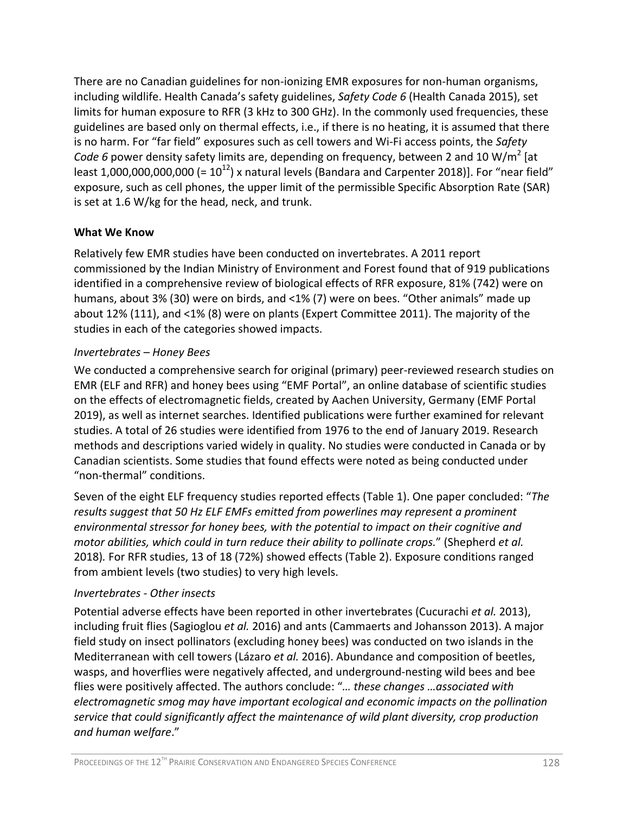There are no Canadian guidelines for non-ionizing EMR exposures for non-human organisms, including wildlife. Health Canada's safety guidelines, *Safety Code 6* (Health Canada 2015), set limits for human exposure to RFR (3 kHz to 300 GHz). In the commonly used frequencies, these guidelines are based only on thermal effects, i.e., if there is no heating, it is assumed that there is no harm. For "far field" exposures such as cell towers and Wi-Fi access points, the *Safety Code 6* power density safety limits are, depending on frequency, between 2 and 10 W/m<sup>2</sup> [at least 1,000,000,000,000 (=  $10^{12}$ ) x natural levels (Bandara and Carpenter 2018)]. For "near field" exposure, such as cell phones, the upper limit of the permissible Specific Absorption Rate (SAR) is set at 1.6 W/kg for the head, neck, and trunk.

#### **What We Know**

Relatively few EMR studies have been conducted on invertebrates. A 2011 report commissioned by the Indian Ministry of Environment and Forest found that of 919 publications identified in a comprehensive review of biological effects of RFR exposure, 81% (742) were on humans, about 3% (30) were on birds, and <1% (7) were on bees. "Other animals" made up about 12% (111), and <1% (8) were on plants (Expert Committee 2011). The majority of the studies in each of the categories showed impacts.

#### *Invertebrates – Honey Bees*

We conducted a comprehensive search for original (primary) peer-reviewed research studies on EMR (ELF and RFR) and honey bees using "EMF Portal", an online database of scientific studies on the effects of electromagnetic fields, created by Aachen University, Germany (EMF Portal 2019), as well as internet searches. Identified publications were further examined for relevant studies. A total of 26 studies were identified from 1976 to the end of January 2019. Research methods and descriptions varied widely in quality. No studies were conducted in Canada or by Canadian scientists. Some studies that found effects were noted as being conducted under "non-thermal" conditions.

Seven of the eight ELF frequency studies reported effects (Table 1). One paper concluded: "*The results suggest that 50 Hz ELF EMFs emitted from powerlines may represent a prominent environmental stressor for honey bees, with the potential to impact on their cognitive and motor abilities, which could in turn reduce their ability to pollinate crops.*" (Shepherd *et al.* 2018)*.* For RFR studies, 13 of 18 (72%) showed effects (Table 2). Exposure conditions ranged from ambient levels (two studies) to very high levels.

#### *Invertebrates - Other insects*

Potential adverse effects have been reported in other invertebrates (Cucurachi *et al.* 2013), including fruit flies (Sagioglou *et al.* 2016) and ants (Cammaerts and Johansson 2013). A major field study on insect pollinators (excluding honey bees) was conducted on two islands in the Mediterranean with cell towers (Lázaro *et al.* 2016). Abundance and composition of beetles, wasps, and hoverflies were negatively affected, and underground-nesting wild bees and bee flies were positively affected. The authors conclude: "*… these changes …associated with electromagnetic smog may have important ecological and economic impacts on the pollination service that could significantly affect the maintenance of wild plant diversity, crop production and human welfare*."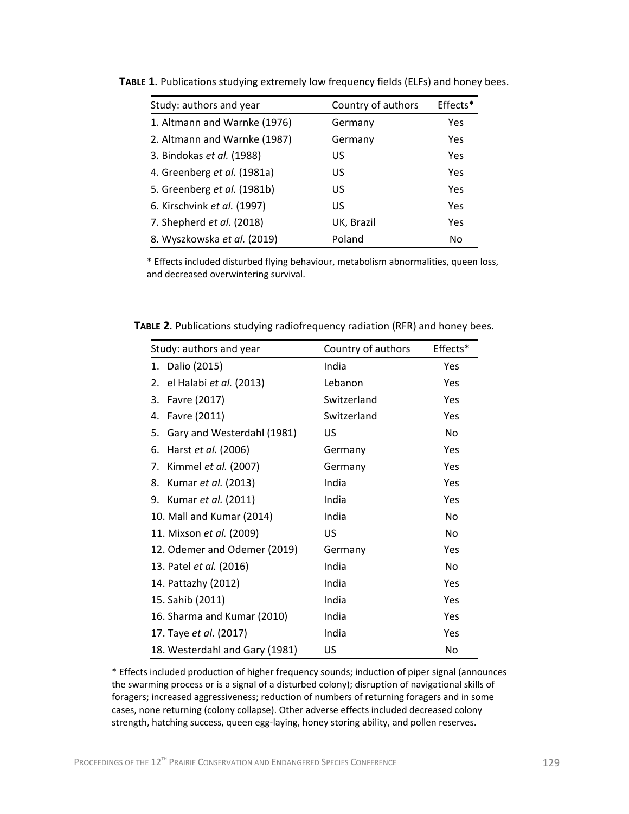| Study: authors and year      | Country of authors | Effects* |
|------------------------------|--------------------|----------|
| 1. Altmann and Warnke (1976) | Germany            | Yes      |
| 2. Altmann and Warnke (1987) | Germany            | Yes      |
| 3. Bindokas et al. (1988)    | US                 | Yes      |
| 4. Greenberg et al. (1981a)  | US                 | Yes      |
| 5. Greenberg et al. (1981b)  | US                 | Yes      |
| 6. Kirschvink et al. (1997)  | US                 | Yes      |
| 7. Shepherd et al. (2018)    | UK, Brazil         | Yes      |
| 8. Wyszkowska et al. (2019)  | Poland             | No       |

**TABLE 1**. Publications studying extremely low frequency fields (ELFs) and honey bees.

\* Effects included disturbed flying behaviour, metabolism abnormalities, queen loss, and decreased overwintering survival.

| TABLE 2. Publications studying radiofrequency radiation (RFR) and honey bees. |  |  |  |  |  |
|-------------------------------------------------------------------------------|--|--|--|--|--|
|-------------------------------------------------------------------------------|--|--|--|--|--|

| Study: authors and year          | Country of authors | Effects*  |
|----------------------------------|--------------------|-----------|
| 1. Dalio (2015)                  | India              | Yes       |
| el Halabi et al. (2013)<br>2.    | Lebanon            | Yes       |
| Favre (2017)<br>3.               | Switzerland        | Yes       |
| Favre (2011)<br>4.               | Switzerland        | Yes       |
| Gary and Westerdahl (1981)<br>5. | US                 | <b>No</b> |
| Harst et al. (2006)<br>6.        | Germany            | Yes       |
| Kimmel et al. (2007)<br>7.       | Germany            | Yes       |
| Kumar et al. (2013)<br>8.        | India              | Yes       |
| 9. Kumar et al. (2011)           | India              | Yes       |
| 10. Mall and Kumar (2014)        | India              | No        |
| 11. Mixson et al. (2009)         | US                 | No        |
| 12. Odemer and Odemer (2019)     | Germany            | Yes       |
| 13. Patel et al. (2016)          | India              | No        |
| 14. Pattazhy (2012)              | India              | Yes       |
| 15. Sahib (2011)                 | India              | Yes       |
| 16. Sharma and Kumar (2010)      | India              | Yes       |
| 17. Taye et al. (2017)           | India              | Yes       |
| 18. Westerdahl and Gary (1981)   | US                 | No        |

\* Effects included production of higher frequency sounds; induction of piper signal (announces the swarming process or is a signal of a disturbed colony); disruption of navigational skills of foragers; increased aggressiveness; reduction of numbers of returning foragers and in some cases, none returning (colony collapse). Other adverse effects included decreased colony strength, hatching success, queen egg-laying, honey storing ability, and pollen reserves.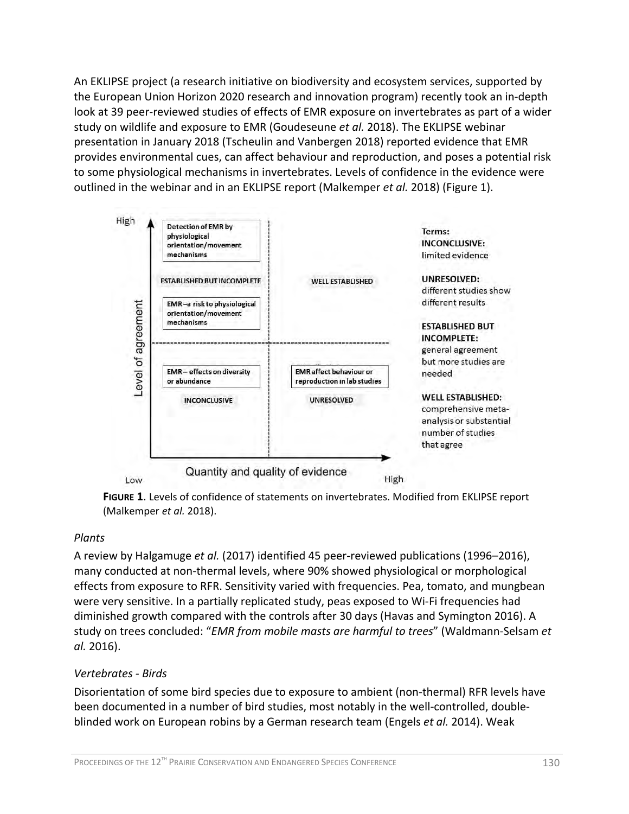An EKLIPSE project (a research initiative on biodiversity and ecosystem services, supported by the European Union Horizon 2020 research and innovation program) recently took an in-depth look at 39 peer-reviewed studies of effects of EMR exposure on invertebrates as part of a wider study on wildlife and exposure to EMR (Goudeseune *et al.* 2018). The EKLIPSE webinar presentation in January 2018 (Tscheulin and Vanbergen 2018) reported evidence that EMR provides environmental cues, can affect behaviour and reproduction, and poses a potential risk to some physiological mechanisms in invertebrates. Levels of confidence in the evidence were outlined in the webinar and in an EKLIPSE report (Malkemper *et al.* 2018) (Figure 1).



**FIGURE 1**. Levels of confidence of statements on invertebrates. Modified from EKLIPSE report (Malkemper *et al.* 2018).

#### *Plants*

A review by Halgamuge *et al.* (2017) identified 45 peer-reviewed publications (1996–2016), many conducted at non-thermal levels, where 90% showed physiological or morphological effects from exposure to RFR. Sensitivity varied with frequencies. Pea, tomato, and mungbean were very sensitive. In a partially replicated study, peas exposed to Wi-Fi frequencies had diminished growth compared with the controls after 30 days (Havas and Symington 2016). A study on trees concluded: "*EMR from mobile masts are harmful to trees*" (Waldmann-Selsam *et al.* 2016).

#### *Vertebrates - Birds*

Disorientation of some bird species due to exposure to ambient (non-thermal) RFR levels have been documented in a number of bird studies, most notably in the well-controlled, doubleblinded work on European robins by a German research team (Engels *et al.* 2014). Weak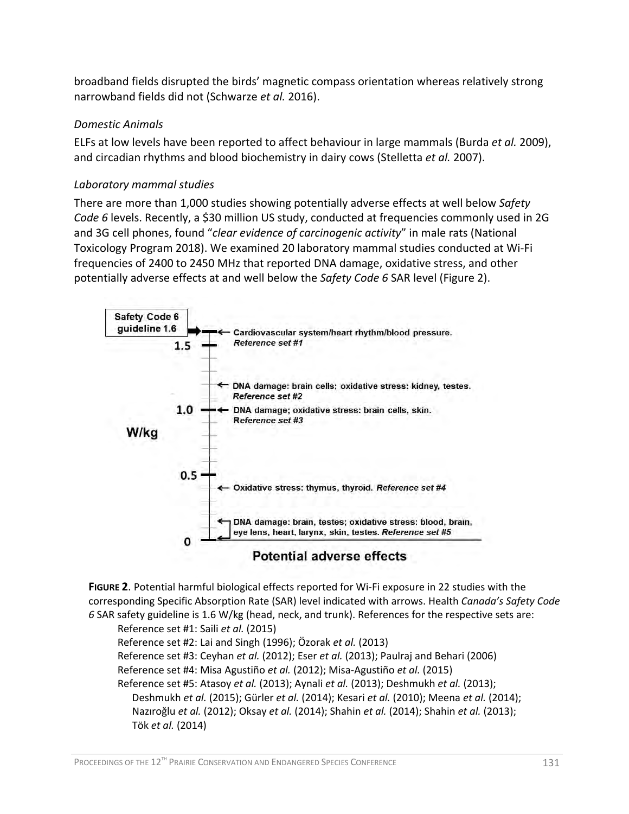broadband fields disrupted the birds' magnetic compass orientation whereas relatively strong narrowband fields did not (Schwarze *et al.* 2016).

#### *Domestic Animals*

ELFs at low levels have been reported to affect behaviour in large mammals (Burda *et al.* 2009), and circadian rhythms and blood biochemistry in dairy cows (Stelletta *et al.* 2007).

#### *Laboratory mammal studies*

There are more than 1,000 studies showing potentially adverse effects at well below *Safety Code 6* levels. Recently, a \$30 million US study, conducted at frequencies commonly used in 2G and 3G cell phones, found "*clear evidence of carcinogenic activity*" in male rats (National Toxicology Program 2018). We examined 20 laboratory mammal studies conducted at Wi-Fi frequencies of 2400 to 2450 MHz that reported DNA damage, oxidative stress, and other potentially adverse effects at and well below the *Safety Code 6* SAR level (Figure 2).



**FIGURE 2**. Potential harmful biological effects reported for Wi-Fi exposure in 22 studies with the corresponding Specific Absorption Rate (SAR) level indicated with arrows. Health *Canada's Safety Code 6* SAR safety guideline is 1.6 W/kg (head, neck, and trunk). References for the respective sets are:

Reference set #1: Saili *et al.* (2015)

Reference set #2: Lai and Singh (1996); Özorak *et al.* (2013)

Reference set #3: Ceyhan *et al.* (2012); Eser *et al.* (2013); Paulraj and Behari (2006)

Reference set #4: Misa Agustiño *et al.* (2012); Misa-Agustiño *et al.* (2015)

Reference set #5: Atasoy *et al.* (2013); Aynali *et al.* (2013); Deshmukh *et al.* (2013);

 Deshmukh *et al.* (2015); Gürler *et al.* (2014); Kesari *et al.* (2010); Meena *et al.* (2014); Nazıroğlu *et al.* (2012); Oksay *et al.* (2014); Shahin *et al.* (2014); Shahin *et al.* (2013); Tök *et al.* (2014)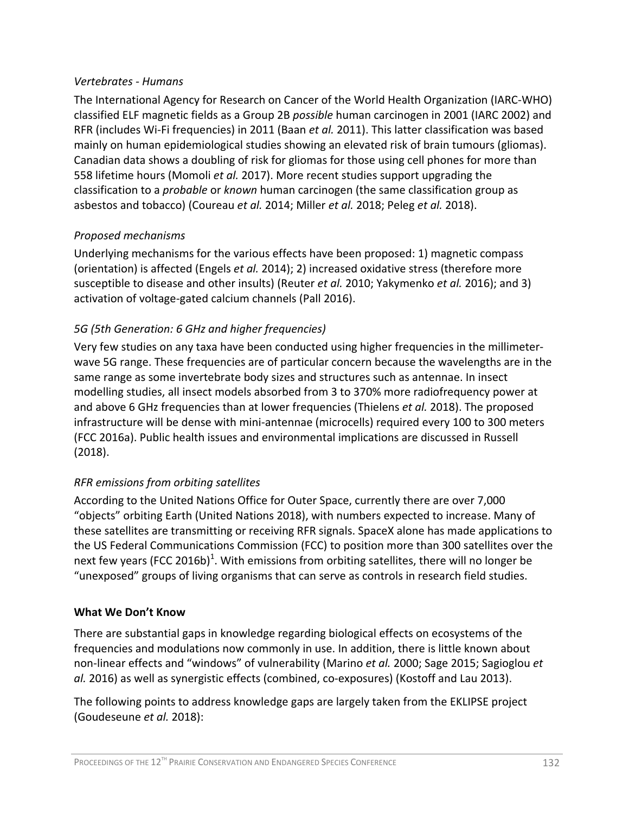#### *Vertebrates - Humans*

The International Agency for Research on Cancer of the World Health Organization (IARC-WHO) classified ELF magnetic fields as a Group 2B *possible* human carcinogen in 2001 (IARC 2002) and RFR (includes Wi-Fi frequencies) in 2011 (Baan *et al.* 2011). This latter classification was based mainly on human epidemiological studies showing an elevated risk of brain tumours (gliomas). Canadian data shows a doubling of risk for gliomas for those using cell phones for more than 558 lifetime hours (Momoli *et al.* 2017). More recent studies support upgrading the classification to a *probable* or *known* human carcinogen (the same classification group as asbestos and tobacco) (Coureau *et al.* 2014; Miller *et al.* 2018; Peleg *et al.* 2018).

#### *Proposed mechanisms*

Underlying mechanisms for the various effects have been proposed: 1) magnetic compass (orientation) is affected (Engels *et al.* 2014); 2) increased oxidative stress (therefore more susceptible to disease and other insults) (Reuter *et al.* 2010; Yakymenko *et al.* 2016); and 3) activation of voltage-gated calcium channels (Pall 2016).

#### *5G (5th Generation: 6 GHz and higher frequencies)*

Very few studies on any taxa have been conducted using higher frequencies in the millimeterwave 5G range. These frequencies are of particular concern because the wavelengths are in the same range as some invertebrate body sizes and structures such as antennae. In insect modelling studies, all insect models absorbed from 3 to 370% more radiofrequency power at and above 6 GHz frequencies than at lower frequencies (Thielens *et al.* 2018). The proposed infrastructure will be dense with mini-antennae (microcells) required every 100 to 300 meters (FCC 2016a). Public health issues and environmental implications are discussed in Russell (2018).

#### *RFR emissions from orbiting satellites*

According to the United Nations Office for Outer Space, currently there are over 7,000 "objects" orbiting Earth (United Nations 2018), with numbers expected to increase. Many of these satellites are transmitting or receiving RFR signals. SpaceX alone has made applications to the US Federal Communications Commission (FCC) to position more than 300 satellites over the next few years (FCC 2016b)<sup>1</sup>. With emissions from orbiting satellites, there will no longer be "unexposed" groups of living organisms that can serve as controls in research field studies.

#### **What We Don't Know**

There are substantial gaps in knowledge regarding biological effects on ecosystems of the frequencies and modulations now commonly in use. In addition, there is little known about non-linear effects and "windows" of vulnerability (Marino *et al.* 2000; Sage 2015; Sagioglou *et al.* 2016) as well as synergistic effects (combined, co-exposures) (Kostoff and Lau 2013).

The following points to address knowledge gaps are largely taken from the EKLIPSE project (Goudeseune *et al.* 2018):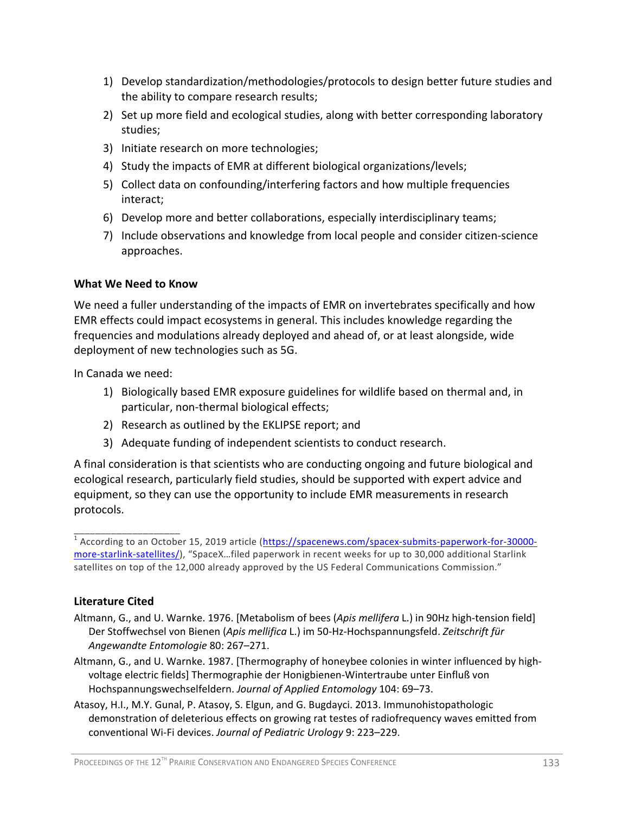- 1) Develop standardization/methodologies/protocols to design better future studies and the ability to compare research results;
- 2) Set up more field and ecological studies, along with better corresponding laboratory studies;
- 3) Initiate research on more technologies;
- 4) Study the impacts of EMR at different biological organizations/levels;
- 5) Collect data on confounding/interfering factors and how multiple frequencies interact;
- 6) Develop more and better collaborations, especially interdisciplinary teams;
- 7) Include observations and knowledge from local people and consider citizen-science approaches.

#### **What We Need to Know**

We need a fuller understanding of the impacts of EMR on invertebrates specifically and how EMR effects could impact ecosystems in general. This includes knowledge regarding the frequencies and modulations already deployed and ahead of, or at least alongside, wide deployment of new technologies such as 5G.

In Canada we need:

- 1) Biologically based EMR exposure guidelines for wildlife based on thermal and, in particular, non-thermal biological effects;
- 2) Research as outlined by the EKLIPSE report; and
- 3) Adequate funding of independent scientists to conduct research.

A final consideration is that scientists who are conducting ongoing and future biological and ecological research, particularly field studies, should be supported with expert advice and equipment, so they can use the opportunity to include EMR measurements in research protocols.

#### **Literature Cited**

\_\_\_\_\_\_\_\_\_\_\_\_\_\_\_\_\_\_\_\_

- Altmann, G., and U. Warnke. 1976. [Metabolism of bees (*Apis mellifera* L.) in 90Hz high-tension field] Der Stoffwechsel von Bienen (*Apis mellifica* L.) im 50-Hz-Hochspannungsfeld. *Zeitschrift für Angewandte Entomologie* 80: 267–271.
- Altmann, G., and U. Warnke. 1987. [Thermography of honeybee colonies in winter influenced by highvoltage electric fields] Thermographie der Honigbienen-Wintertraube unter Einfluß von Hochspannungswechselfeldern. *Journal of Applied Entomology* 104: 69–73.
- Atasoy, H.I., M.Y. Gunal, P. Atasoy, S. Elgun, and G. Bugdayci. 2013. Immunohistopathologic demonstration of deleterious effects on growing rat testes of radiofrequency waves emitted from conventional Wi-Fi devices. *Journal of Pediatric Urology* 9: 223–229.

<sup>&</sup>lt;sup>1</sup> According to an October 15, 2019 article [\(https://spacenews.com/spacex-submits-paperwork-for-30000](https://spacenews.com/spacex-submits-paperwork-for-30000-more-starlink-satellites/) [more-starlink-satellites/\)](https://spacenews.com/spacex-submits-paperwork-for-30000-more-starlink-satellites/), "SpaceX…filed paperwork in recent weeks for up to 30,000 additional Starlink satellites on top of the 12,000 already approved by the US Federal Communications Commission."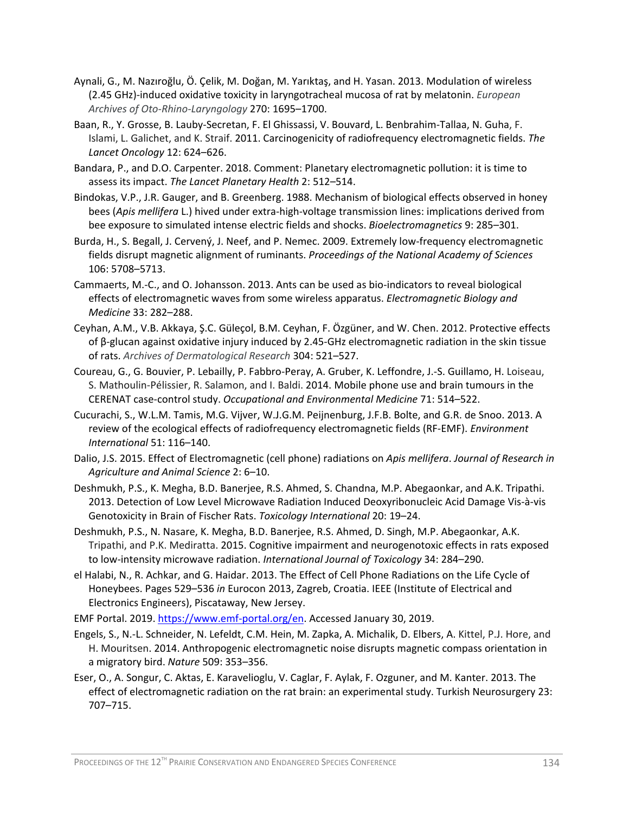- Aynali, G., M. Nazıroğlu, Ö. Çelik, M. Doğan, M. Yarıktaş, and H. Yasan. 2013. Modulation of wireless (2.45 GHz)-induced oxidative toxicity in laryngotracheal mucosa of rat by melatonin. *European Archives of Oto-Rhino-Laryngology* 270: 1695–1700.
- Baan, R., Y. Grosse, B. Lauby-Secretan, F. El Ghissassi, V. Bouvard, L. Benbrahim-Tallaa, N. Guha, F. Islami, L. Galichet, and K. Straif. 2011. Carcinogenicity of radiofrequency electromagnetic fields. *The Lancet Oncology* 12: 624–626.
- Bandara, P., and D.O. Carpenter. 2018. Comment: Planetary electromagnetic pollution: it is time to assess its impact. *The Lancet Planetary Health* 2: 512–514.
- Bindokas, V.P., J.R. Gauger, and B. Greenberg. 1988. Mechanism of biological effects observed in honey bees (*Apis mellifera* L.) hived under extra-high-voltage transmission lines: implications derived from bee exposure to simulated intense electric fields and shocks. *Bioelectromagnetics* 9: 285–301.
- Burda, H., S. Begall, J. Cervený, J. Neef, and P. Nemec. 2009. Extremely low-frequency electromagnetic fields disrupt magnetic alignment of ruminants. *Proceedings of the National Academy of Sciences* 106: 5708–5713.
- Cammaerts, M.-C., and O. Johansson. 2013. Ants can be used as bio-indicators to reveal biological effects of electromagnetic waves from some wireless apparatus. *Electromagnetic Biology and Medicine* 33: 282–288.
- Ceyhan, A.M., V.B. Akkaya, Ş.C. Güleçol, B.M. Ceyhan, F. Özgüner, and W. Chen. 2012. Protective effects of β-glucan against oxidative injury induced by 2.45-GHz electromagnetic radiation in the skin tissue of rats. *Archives of Dermatological Research* 304: 521–527.
- Coureau, G., G. Bouvier, P. Lebailly, P. Fabbro-Peray, A. Gruber, K. Leffondre, J.-S. Guillamo, H. Loiseau, S. Mathoulin-Pélissier, R. Salamon, and I. Baldi. 2014. Mobile phone use and brain tumours in the CERENAT case-control study. *Occupational and Environmental Medicine* 71: 514–522.
- Cucurachi, S., W.L.M. Tamis, M.G. Vijver, W.J.G.M. Peijnenburg, J.F.B. Bolte, and G.R. de Snoo. 2013. A review of the ecological effects of radiofrequency electromagnetic fields (RF-EMF). *Environment International* 51: 116–140.
- Dalio, J.S. 2015. Effect of Electromagnetic (cell phone) radiations on *Apis mellifera*. *Journal of Research in Agriculture and Animal Science* 2: 6–10.
- Deshmukh, P.S., K. Megha, B.D. Banerjee, R.S. Ahmed, S. Chandna, M.P. Abegaonkar, and A.K. Tripathi. 2013. Detection of Low Level Microwave Radiation Induced Deoxyribonucleic Acid Damage Vis-à-vis Genotoxicity in Brain of Fischer Rats. *Toxicology International* 20: 19–24.
- Deshmukh, P.S., N. Nasare, K. Megha, B.D. Banerjee, R.S. Ahmed, D. Singh, M.P. Abegaonkar, A.K. Tripathi, and P.K. Mediratta. 2015. Cognitive impairment and neurogenotoxic effects in rats exposed to low-intensity microwave radiation. *International Journal of Toxicology* 34: 284–290.
- el Halabi, N., R. Achkar, and G. Haidar. 2013. The Effect of Cell Phone Radiations on the Life Cycle of Honeybees. Pages 529–536 *in* Eurocon 2013, Zagreb, Croatia. IEEE (Institute of Electrical and Electronics Engineers), Piscataway, New Jersey.

EMF Portal. 2019. [https://www.emf-portal.org/en.](https://www.emf-portal.org/en) Accessed January 30, 2019.

- Engels, S., N.-L. Schneider, N. Lefeldt, C.M. Hein, M. Zapka, A. Michalik, D. Elbers, A. Kittel, P.J. Hore, and H. Mouritsen. 2014. Anthropogenic electromagnetic noise disrupts magnetic compass orientation in a migratory bird. *Nature* 509: 353–356.
- Eser, O., A. Songur, C. Aktas, E. Karavelioglu, V. Caglar, F. Aylak, F. Ozguner, and M. Kanter. 2013. The effect of electromagnetic radiation on the rat brain: an experimental study. Turkish Neurosurgery 23: 707–715.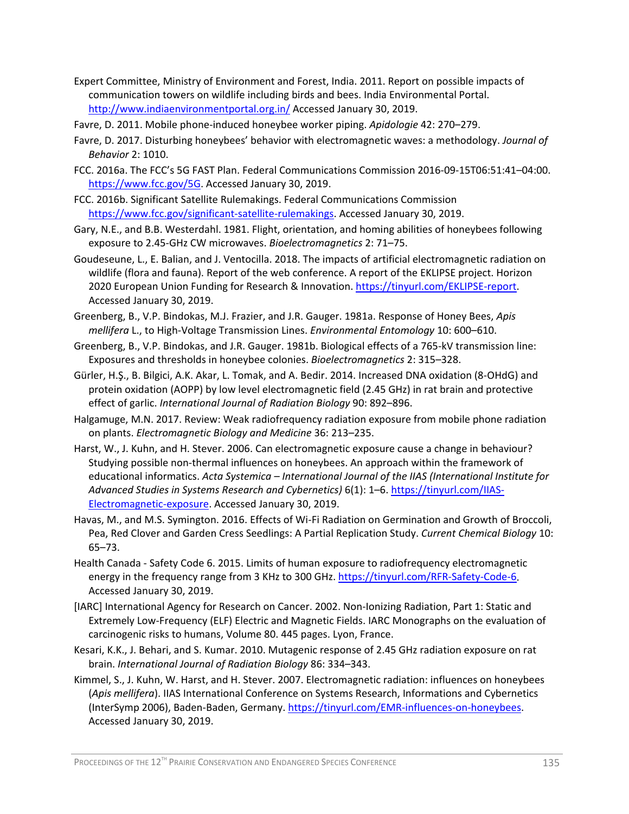- Expert Committee, Ministry of Environment and Forest, India. 2011. Report on possible impacts of communication towers on wildlife including birds and bees. India Environmental Portal. <http://www.indiaenvironmentportal.org.in/> Accessed January 30, 2019.
- Favre, D. 2011. Mobile phone-induced honeybee worker piping. *Apidologie* 42: 270–279.
- Favre, D. 2017. Disturbing honeybees' behavior with electromagnetic waves: a methodology. *Journal of Behavior* 2: 1010.
- FCC. 2016a. The FCC's 5G FAST Plan. Federal Communications Commission 2016-09-15T06:51:41–04:00. [https://www.fcc.gov/5G.](https://www.fcc.gov/5G) Accessed January 30, 2019.
- FCC. 2016b. Significant Satellite Rulemakings. Federal Communications Commission [https://www.fcc.gov/significant-satellite-rulemakings.](https://www.fcc.gov/significant-satellite-rulemakings) Accessed January 30, 2019.
- Gary, N.E., and B.B. Westerdahl. 1981. Flight, orientation, and homing abilities of honeybees following exposure to 2.45-GHz CW microwaves. *Bioelectromagnetics* 2: 71–75.
- Goudeseune, L., E. Balian, and J. Ventocilla. 2018. The impacts of artificial electromagnetic radiation on wildlife (flora and fauna). Report of the web conference. A report of the EKLIPSE project. Horizon 2020 European Union Funding for Research & Innovation[. https://tinyurl.com/EKLIPSE-report.](https://tinyurl.com/EKLIPSE-report) Accessed January 30, 2019.
- Greenberg, B., V.P. Bindokas, M.J. Frazier, and J.R. Gauger. 1981a. Response of Honey Bees, *Apis mellifera* L., to High-Voltage Transmission Lines. *Environmental Entomology* 10: 600–610.
- Greenberg, B., V.P. Bindokas, and J.R. Gauger. 1981b. Biological effects of a 765-kV transmission line: Exposures and thresholds in honeybee colonies. *Bioelectromagnetics* 2: 315–328.
- Gürler, H.Ş., B. Bilgici, A.K. Akar, L. Tomak, and A. Bedir. 2014. Increased DNA oxidation (8-OHdG) and protein oxidation (AOPP) by low level electromagnetic field (2.45 GHz) in rat brain and protective effect of garlic. *International Journal of Radiation Biology* 90: 892–896.
- Halgamuge, M.N. 2017. Review: Weak radiofrequency radiation exposure from mobile phone radiation on plants. *Electromagnetic Biology and Medicine* 36: 213–235.
- Harst, W., J. Kuhn, and H. Stever. 2006. Can electromagnetic exposure cause a change in behaviour? Studying possible non-thermal influences on honeybees. An approach within the framework of educational informatics. *Acta Systemica – International Journal of the IIAS (International Institute for Advanced Studies in Systems Research and Cybernetics)* 6(1): 1–6. [https://tinyurl.com/IIAS-](https://tinyurl.com/IIAS-Electromagnetic-exposure)[Electromagnetic-exposure.](https://tinyurl.com/IIAS-Electromagnetic-exposure) Accessed January 30, 2019.
- Havas, M., and M.S. Symington. 2016. Effects of Wi-Fi Radiation on Germination and Growth of Broccoli, Pea, Red Clover and Garden Cress Seedlings: A Partial Replication Study. *Current Chemical Biology* 10: 65–73.
- Health Canada Safety Code 6. 2015. Limits of human exposure to radiofrequency electromagnetic energy in the frequency range from 3 KHz to 300 GHz. [https://tinyurl.com/RFR-Safety-Code-6.](https://tinyurl.com/RFR-Safety-Code-6) Accessed January 30, 2019.
- [IARC] International Agency for Research on Cancer. 2002. Non-Ionizing Radiation, Part 1: Static and Extremely Low-Frequency (ELF) Electric and Magnetic Fields. IARC Monographs on the evaluation of carcinogenic risks to humans, Volume 80. 445 pages. Lyon, France.
- Kesari, K.K., J. Behari, and S. Kumar. 2010. Mutagenic response of 2.45 GHz radiation exposure on rat brain. *International Journal of Radiation Biology* 86: 334–343.
- Kimmel, S., J. Kuhn, W. Harst, and H. Stever. 2007. Electromagnetic radiation: influences on honeybees (*Apis mellifera*). IIAS International Conference on Systems Research, Informations and Cybernetics (InterSymp 2006), Baden-Baden, Germany[. https://tinyurl.com/EMR-influences-on-honeybees.](https://tinyurl.com/EMR-influences-on-honeybees) Accessed January 30, 2019.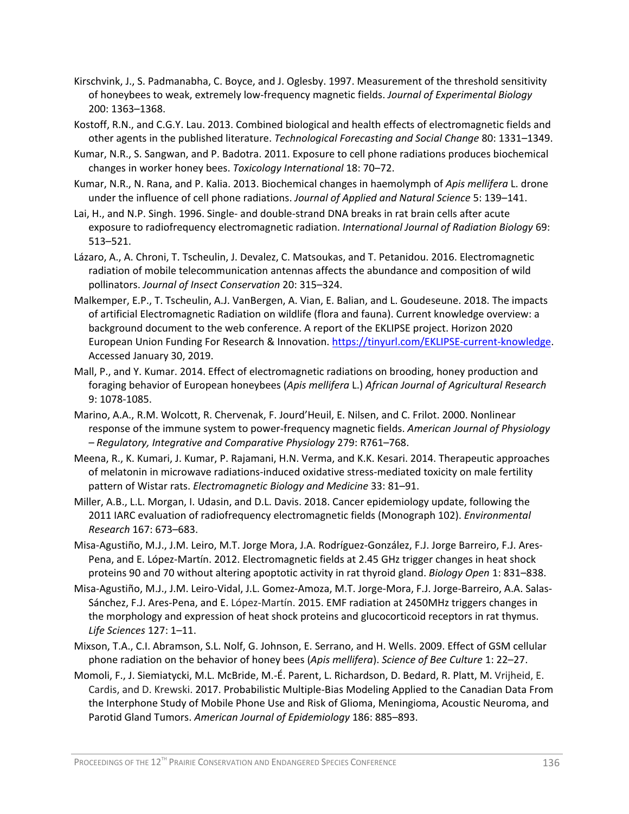- Kirschvink, J., S. Padmanabha, C. Boyce, and J. Oglesby. 1997. Measurement of the threshold sensitivity of honeybees to weak, extremely low-frequency magnetic fields. *Journal of Experimental Biology* 200: 1363–1368.
- Kostoff, R.N., and C.G.Y. Lau. 2013. Combined biological and health effects of electromagnetic fields and other agents in the published literature. *Technological Forecasting and Social Change* 80: 1331–1349.
- Kumar, N.R., S. Sangwan, and P. Badotra. 2011. Exposure to cell phone radiations produces biochemical changes in worker honey bees. *Toxicology International* 18: 70–72.
- Kumar, N.R., N. Rana, and P. Kalia. 2013. Biochemical changes in haemolymph of *Apis mellifera* L. drone under the influence of cell phone radiations. *Journal of Applied and Natural Science* 5: 139–141.
- Lai, H., and N.P. Singh. 1996. Single- and double-strand DNA breaks in rat brain cells after acute exposure to radiofrequency electromagnetic radiation. *International Journal of Radiation Biology* 69: 513–521.
- Lázaro, A., A. Chroni, T. Tscheulin, J. Devalez, C. Matsoukas, and T. Petanidou. 2016. Electromagnetic radiation of mobile telecommunication antennas affects the abundance and composition of wild pollinators. *Journal of Insect Conservation* 20: 315–324.
- Malkemper, E.P., T. Tscheulin, A.J. VanBergen, A. Vian, E. Balian, and L. Goudeseune. 2018. The impacts of artificial Electromagnetic Radiation on wildlife (flora and fauna). Current knowledge overview: a background document to the web conference. A report of the EKLIPSE project. Horizon 2020 European Union Funding For Research & Innovation. [https://tinyurl.com/EKLIPSE-current-knowledge.](https://tinyurl.com/EKLIPSE-current-knowledge) Accessed January 30, 2019.
- Mall, P., and Y. Kumar. 2014. Effect of electromagnetic radiations on brooding, honey production and foraging behavior of European honeybees (*Apis mellifera* L.) *African Journal of Agricultural Research* 9: 1078-1085.
- Marino, A.A., R.M. Wolcott, R. Chervenak, F. Jourd'Heuil, E. Nilsen, and C. Frilot. 2000. Nonlinear response of the immune system to power-frequency magnetic fields. *American Journal of Physiology – Regulatory, Integrative and Comparative Physiology* 279: R761–768.
- Meena, R., K. Kumari, J. Kumar, P. Rajamani, H.N. Verma, and K.K. Kesari. 2014. Therapeutic approaches of melatonin in microwave radiations-induced oxidative stress-mediated toxicity on male fertility pattern of Wistar rats. *Electromagnetic Biology and Medicine* 33: 81–91.
- Miller, A.B., L.L. Morgan, I. Udasin, and D.L. Davis. 2018. Cancer epidemiology update, following the 2011 IARC evaluation of radiofrequency electromagnetic fields (Monograph 102). *Environmental Research* 167: 673–683.
- Misa-Agustiño, M.J., J.M. Leiro, M.T. Jorge Mora, J.A. Rodríguez-González, F.J. Jorge Barreiro, F.J. Ares-Pena, and E. López-Martín. 2012. Electromagnetic fields at 2.45 GHz trigger changes in heat shock proteins 90 and 70 without altering apoptotic activity in rat thyroid gland. *Biology Open* 1: 831–838.
- Misa-Agustiño, M.J., J.M. Leiro-Vidal, J.L. Gomez-Amoza, M.T. Jorge-Mora, F.J. Jorge-Barreiro, A.A. Salas-Sánchez, F.J. Ares-Pena, and E. López-Martín. 2015. EMF radiation at 2450MHz triggers changes in the morphology and expression of heat shock proteins and glucocorticoid receptors in rat thymus. *Life Sciences* 127: 1–11.
- Mixson, T.A., C.I. Abramson, S.L. Nolf, G. Johnson, E. Serrano, and H. Wells. 2009. Effect of GSM cellular phone radiation on the behavior of honey bees (*Apis mellifera*). *Science of Bee Culture* 1: 22–27.
- Momoli, F., J. Siemiatycki, M.L. McBride, M.-É. Parent, L. Richardson, D. Bedard, R. Platt, M. Vrijheid, E. Cardis, and D. Krewski. 2017. Probabilistic Multiple-Bias Modeling Applied to the Canadian Data From the Interphone Study of Mobile Phone Use and Risk of Glioma, Meningioma, Acoustic Neuroma, and Parotid Gland Tumors. *American Journal of Epidemiology* 186: 885–893.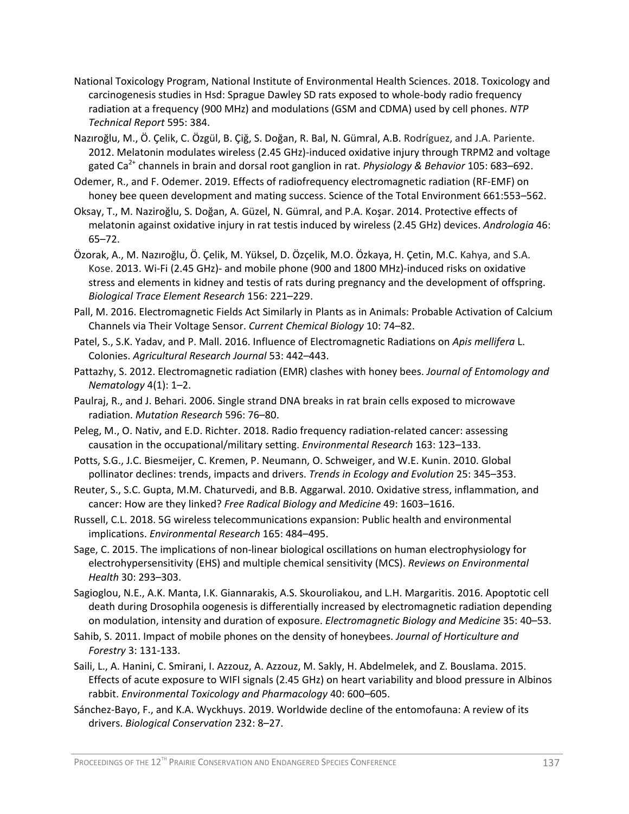- National Toxicology Program, National Institute of Environmental Health Sciences. 2018. Toxicology and carcinogenesis studies in Hsd: Sprague Dawley SD rats exposed to whole-body radio frequency radiation at a frequency (900 MHz) and modulations (GSM and CDMA) used by cell phones. *NTP Technical Report* 595: 384.
- Nazıroğlu, M., Ö. Çelik, C. Özgül, B. Çiğ, S. Doğan, R. Bal, N. Gümral, A.B. Rodríguez, and J.A. Pariente. 2012. Melatonin modulates wireless (2.45 GHz)-induced oxidative injury through TRPM2 and voltage gated Ca2+ channels in brain and dorsal root ganglion in rat. *Physiology & Behavior* 105: 683–692.
- Odemer, R., and F. Odemer. 2019. Effects of radiofrequency electromagnetic radiation (RF-EMF) on honey bee queen development and mating success. Science of the Total Environment 661:553–562.
- Oksay, T., M. Naziroğlu, S. Doğan, A. Güzel, N. Gümral, and P.A. Koşar. 2014. Protective effects of melatonin against oxidative injury in rat testis induced by wireless (2.45 GHz) devices. *Andrologia* 46: 65–72.
- Özorak, A., M. Nazıroğlu, Ö. Çelik, M. Yüksel, D. Özçelik, M.O. Özkaya, H. Çetin, M.C. Kahya, and S.A. Kose. 2013. Wi-Fi (2.45 GHz)- and mobile phone (900 and 1800 MHz)-induced risks on oxidative stress and elements in kidney and testis of rats during pregnancy and the development of offspring. *Biological Trace Element Research* 156: 221–229.
- Pall, M. 2016. Electromagnetic Fields Act Similarly in Plants as in Animals: Probable Activation of Calcium Channels via Their Voltage Sensor. *Current Chemical Biology* 10: 74–82.
- Patel, S., S.K. Yadav, and P. Mall. 2016. Influence of Electromagnetic Radiations on *Apis mellifera* L. Colonies. *Agricultural Research Journal* 53: 442–443.
- Pattazhy, S. 2012. Electromagnetic radiation (EMR) clashes with honey bees. *Journal of Entomology and Nematology* 4(1): 1–2.
- Paulraj, R., and J. Behari. 2006. Single strand DNA breaks in rat brain cells exposed to microwave radiation. *Mutation Research* 596: 76–80.
- Peleg, M., O. Nativ, and E.D. Richter. 2018. Radio frequency radiation-related cancer: assessing causation in the occupational/military setting. *Environmental Research* 163: 123–133.
- Potts, S.G., J.C. Biesmeijer, C. Kremen, P. Neumann, O. Schweiger, and W.E. Kunin. 2010. Global pollinator declines: trends, impacts and drivers. *Trends in Ecology and Evolution* 25: 345–353.
- Reuter, S., S.C. Gupta, M.M. Chaturvedi, and B.B. Aggarwal. 2010. Oxidative stress, inflammation, and cancer: How are they linked? *Free Radical Biology and Medicine* 49: 1603–1616.
- Russell, C.L. 2018. 5G wireless telecommunications expansion: Public health and environmental implications. *Environmental Research* 165: 484–495.
- Sage, C. 2015. The implications of non-linear biological oscillations on human electrophysiology for electrohypersensitivity (EHS) and multiple chemical sensitivity (MCS). *Reviews on Environmental Health* 30: 293–303.
- Sagioglou, N.E., A.K. Manta, I.K. Giannarakis, A.S. Skouroliakou, and L.H. Margaritis. 2016. Apoptotic cell death during Drosophila oogenesis is differentially increased by electromagnetic radiation depending on modulation, intensity and duration of exposure. *Electromagnetic Biology and Medicine* 35: 40–53.
- Sahib, S. 2011. Impact of mobile phones on the density of honeybees. *Journal of Horticulture and Forestry* 3: 131-133.
- Saili, L., A. Hanini, C. Smirani, I. Azzouz, A. Azzouz, M. Sakly, H. Abdelmelek, and Z. Bouslama. 2015. Effects of acute exposure to WIFI signals (2.45 GHz) on heart variability and blood pressure in Albinos rabbit. *Environmental Toxicology and Pharmacology* 40: 600–605.
- Sánchez-Bayo, F., and K.A. Wyckhuys. 2019. Worldwide decline of the entomofauna: A review of its drivers. *Biological Conservation* 232: 8–27.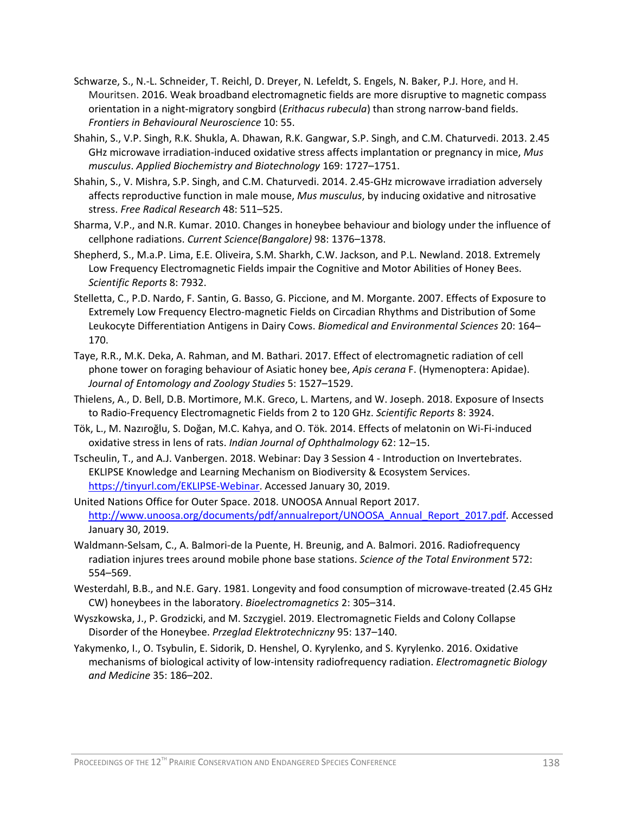- Schwarze, S., N.-L. Schneider, T. Reichl, D. Dreyer, N. Lefeldt, S. Engels, N. Baker, P.J. Hore, and H. Mouritsen. 2016. Weak broadband electromagnetic fields are more disruptive to magnetic compass orientation in a night-migratory songbird (*Erithacus rubecula*) than strong narrow-band fields. *Frontiers in Behavioural Neuroscience* 10: 55.
- Shahin, S., V.P. Singh, R.K. Shukla, A. Dhawan, R.K. Gangwar, S.P. Singh, and C.M. Chaturvedi. 2013. 2.45 GHz microwave irradiation-induced oxidative stress affects implantation or pregnancy in mice, *Mus musculus*. *Applied Biochemistry and Biotechnology* 169: 1727–1751.
- Shahin, S., V. Mishra, S.P. Singh, and C.M. Chaturvedi. 2014. 2.45-GHz microwave irradiation adversely affects reproductive function in male mouse, *Mus musculus*, by inducing oxidative and nitrosative stress. *Free Radical Research* 48: 511–525.
- Sharma, V.P., and N.R. Kumar. 2010. Changes in honeybee behaviour and biology under the influence of cellphone radiations. *Current Science(Bangalore)* 98: 1376–1378.
- Shepherd, S., M.a.P. Lima, E.E. Oliveira, S.M. Sharkh, C.W. Jackson, and P.L. Newland. 2018. Extremely Low Frequency Electromagnetic Fields impair the Cognitive and Motor Abilities of Honey Bees. *Scientific Reports* 8: 7932.
- Stelletta, C., P.D. Nardo, F. Santin, G. Basso, G. Piccione, and M. Morgante. 2007. Effects of Exposure to Extremely Low Frequency Electro-magnetic Fields on Circadian Rhythms and Distribution of Some Leukocyte Differentiation Antigens in Dairy Cows. *Biomedical and Environmental Sciences* 20: 164– 170.
- Taye, R.R., M.K. Deka, A. Rahman, and M. Bathari. 2017. Effect of electromagnetic radiation of cell phone tower on foraging behaviour of Asiatic honey bee, *Apis cerana* F. (Hymenoptera: Apidae). *Journal of Entomology and Zoology Studies* 5: 1527–1529.
- Thielens, A., D. Bell, D.B. Mortimore, M.K. Greco, L. Martens, and W. Joseph. 2018. Exposure of Insects to Radio-Frequency Electromagnetic Fields from 2 to 120 GHz. *Scientific Reports* 8: 3924.
- Tök, L., M. Nazıroğlu, S. Doğan, M.C. Kahya, and O. Tök. 2014. Effects of melatonin on Wi-Fi-induced oxidative stress in lens of rats. *Indian Journal of Ophthalmology* 62: 12–15.
- Tscheulin, T., and A.J. Vanbergen. 2018. Webinar: Day 3 Session 4 Introduction on Invertebrates. EKLIPSE Knowledge and Learning Mechanism on Biodiversity & Ecosystem Services. [https://tinyurl.com/EKLIPSE-Webinar.](https://tinyurl.com/EKLIPSE-Webinar) Accessed January 30, 2019.
- United Nations Office for Outer Space. 2018. UNOOSA Annual Report 2017. [http://www.unoosa.org/documents/pdf/annualreport/UNOOSA\\_Annual\\_Report\\_2017.pdf.](http://www.unoosa.org/documents/pdf/annualreport/UNOOSA_Annual_Report_2017.pdf) Accessed January 30, 2019.
- Waldmann-Selsam, C., A. Balmori-de la Puente, H. Breunig, and A. Balmori. 2016. Radiofrequency radiation injures trees around mobile phone base stations. *Science of the Total Environment* 572: 554–569.
- Westerdahl, B.B., and N.E. Gary. 1981. Longevity and food consumption of microwave-treated (2.45 GHz CW) honeybees in the laboratory. *Bioelectromagnetics* 2: 305–314.
- Wyszkowska, J., P. Grodzicki, and M. Szczygiel. 2019. Electromagnetic Fields and Colony Collapse Disorder of the Honeybee. *Przeglad Elektrotechniczny* 95: 137–140.
- Yakymenko, I., O. Tsybulin, E. Sidorik, D. Henshel, O. Kyrylenko, and S. Kyrylenko. 2016. Oxidative mechanisms of biological activity of low-intensity radiofrequency radiation. *Electromagnetic Biology and Medicine* 35: 186–202.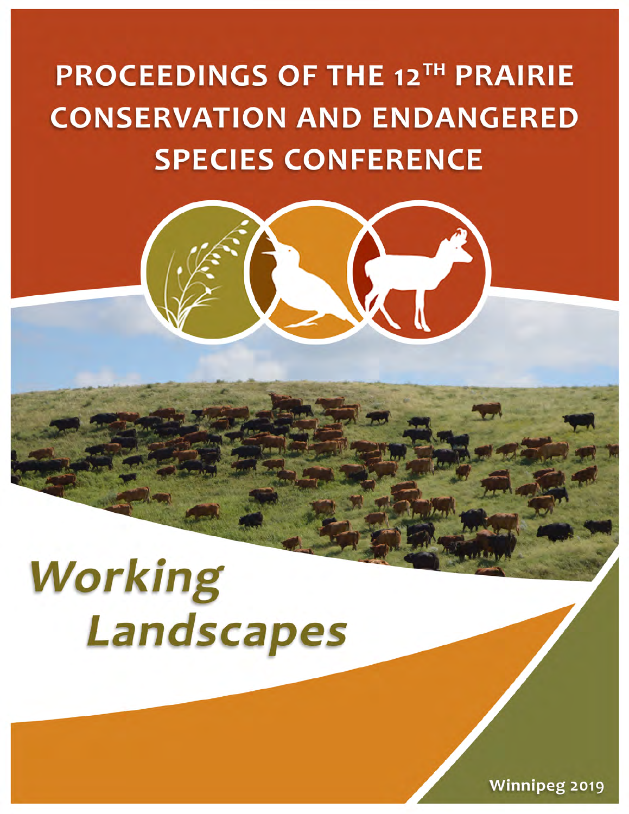# **PROCEEDINGS OF THE 12TH PRAIRIE CONSERVATION AND ENDANGERED SPECIES CONFERENCE**



**Winnipeg 2019**